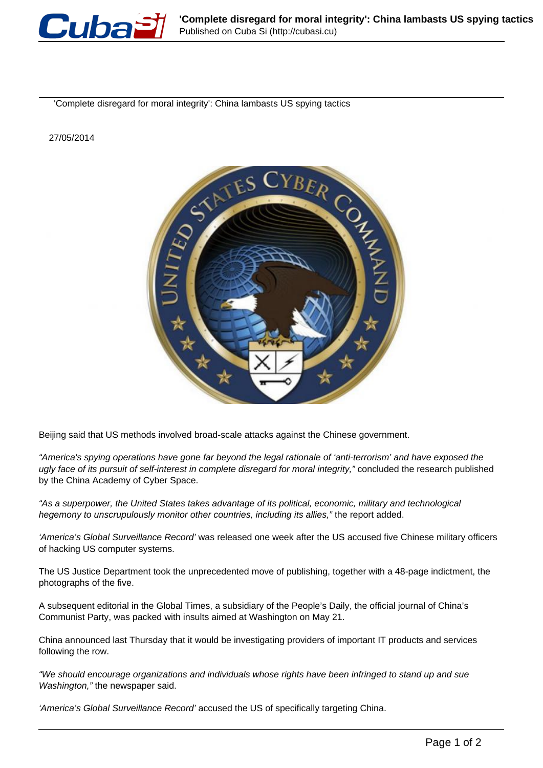

'Complete disregard for moral integrity': China lambasts US spying tactics

27/05/2014



Beijing said that US methods involved broad-scale attacks against the Chinese government.

"America's spying operations have gone far beyond the legal rationale of 'anti-terrorism' and have exposed the ugly face of its pursuit of self-interest in complete disregard for moral integrity," concluded the research published by the China Academy of Cyber Space.

"As a superpower, the United States takes advantage of its political, economic, military and technological hegemony to unscrupulously monitor other countries, including its allies," the report added.

'America's Global Surveillance Record' was released one week after the US accused five Chinese military officers of hacking US computer systems.

The US Justice Department took the unprecedented move of publishing, together with a 48-page indictment, the photographs of the five.

A subsequent editorial in the Global Times, a subsidiary of the People's Daily, the official journal of China's Communist Party, was packed with insults aimed at Washington on May 21.

China announced last Thursday that it would be investigating providers of important IT products and services following the row.

"We should encourage organizations and individuals whose rights have been infringed to stand up and sue Washington," the newspaper said.

'America's Global Surveillance Record' accused the US of specifically targeting China.